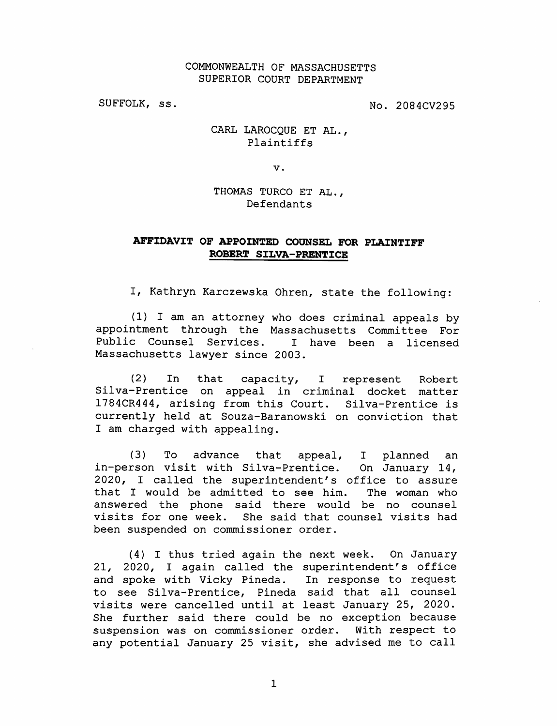## COMMONWEALTH OF MASSACHUSETTS SUPERIOR COURT DEPARTMENT

SUFFOLK, ss. No. 2084CV295

## CARL LAROCQUE ET AL., Plaintiffs

V.

THOMAS TURCO ET AL., Defendants

## AFFIDAVIT OF APPOINTED COUNSEL FOR PLAINTIFF ROBERT SILVA-PRENTICE

I, Kathryn Karczewska Ohren, state the following:

(1) I am an attorney who does criminal appeals by appointment through the Massachusetts Committee For Public Counsel Services. Massachusetts lawyer since 2003. I have been a licensed

(2) In that capacity, I represent Robert Silva-Prentice on appeal in criminal docket matter 1784CR444, arising from this Court. Silva-Prentice is currently held at Souza-Baranowski on conviction that I am charged with appealing.

 $(3)$  To advance that in-person visit with Silva-Prentice. On January 14, 2020, I called the superintendent's office to assure that I would be admitted to see him. appeal, I planned an The woman who answered the phone said there would be no counsel visits for one week, been suspended on commissioner order. She said that counsel visits had

(4) I thus tried again the next week. On January 21, 2020, I again called the superintendent's office and spoke with Vicky Pineda. In response to request to see Silva-Prentice, Pineda said that all counsel visits were cancelled until at least January 25, 2020. She further said there could be no exception because<br>suspension was on commissioner order. With respect to suspension was on commissioner order. any potential January 25 visit, she advised me to call

1